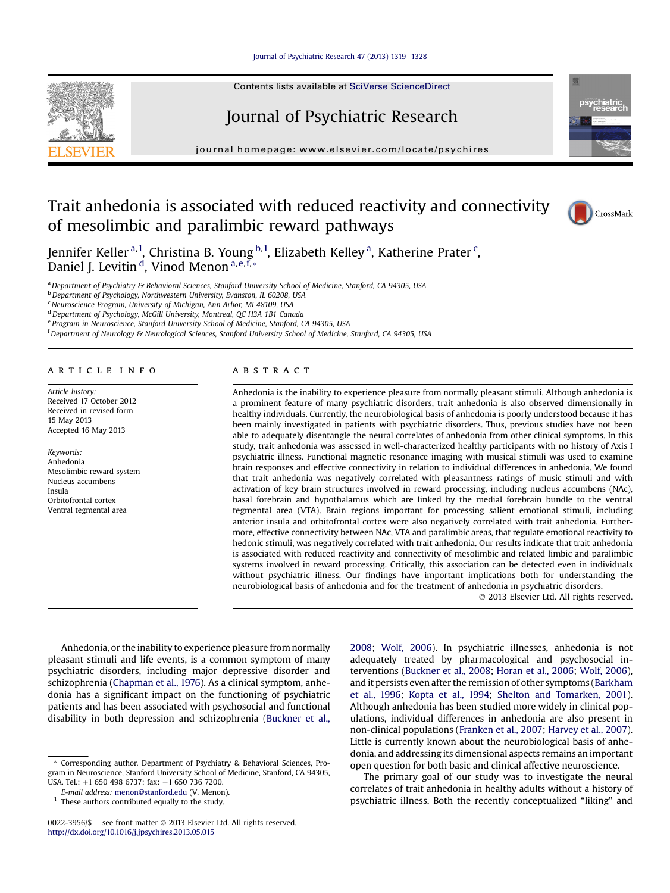## [Journal of Psychiatric Research 47 \(2013\) 1319](http://dx.doi.org/10.1016/j.jpsychires.2013.05.015)-[1328](http://dx.doi.org/10.1016/j.jpsychires.2013.05.015)



# Journal of Psychiatric Research

 $j<sub>i</sub>$  is a homepage: where  $i<sub>i</sub>$  is a company company

## Trait anhedonia is associated with reduced reactivity and connectivity of mesolimbic and paralimbic reward pathways





Jennifer Keller <sup>a, 1</sup>, Christina B. Young <sup>b, 1</sup>, Elizabeth Kelley <sup>a</sup>, Katherine Prater <sup>c</sup>, Daniel J. Levitin <sup>d</sup>, Vinod Menon <sup>a,e,f,</sup>\*

a Department of Psychiatry & Behavioral Sciences, Stanford University School of Medicine, Stanford, CA 94305, USA

b Department of Psychology, Northwestern University, Evanston, IL 60208, USA

 $c$  Neuroscience Program, University of Michigan, Ann Arbor, MI 48109, USA

<sup>d</sup> Department of Psychology, McGill University, Montreal, QC H3A 1B1 Canada

e Program in Neuroscience, Stanford University School of Medicine, Stanford, CA 94305, USA

<sup>f</sup> Department of Neurology & Neurological Sciences, Stanford University School of Medicine, Stanford, CA 94305, USA

#### article info

Article history: Received 17 October 2012 Received in revised form 15 May 2013 Accepted 16 May 2013

Keywords: Anhedonia Mesolimbic reward system Nucleus accumbens Insula Orbitofrontal cortex Ventral tegmental area

### **ABSTRACT**

Anhedonia is the inability to experience pleasure from normally pleasant stimuli. Although anhedonia is a prominent feature of many psychiatric disorders, trait anhedonia is also observed dimensionally in healthy individuals. Currently, the neurobiological basis of anhedonia is poorly understood because it has been mainly investigated in patients with psychiatric disorders. Thus, previous studies have not been able to adequately disentangle the neural correlates of anhedonia from other clinical symptoms. In this study, trait anhedonia was assessed in well-characterized healthy participants with no history of Axis I psychiatric illness. Functional magnetic resonance imaging with musical stimuli was used to examine brain responses and effective connectivity in relation to individual differences in anhedonia. We found that trait anhedonia was negatively correlated with pleasantness ratings of music stimuli and with activation of key brain structures involved in reward processing, including nucleus accumbens (NAc), basal forebrain and hypothalamus which are linked by the medial forebrain bundle to the ventral tegmental area (VTA). Brain regions important for processing salient emotional stimuli, including anterior insula and orbitofrontal cortex were also negatively correlated with trait anhedonia. Furthermore, effective connectivity between NAc, VTA and paralimbic areas, that regulate emotional reactivity to hedonic stimuli, was negatively correlated with trait anhedonia. Our results indicate that trait anhedonia is associated with reduced reactivity and connectivity of mesolimbic and related limbic and paralimbic systems involved in reward processing. Critically, this association can be detected even in individuals without psychiatric illness. Our findings have important implications both for understanding the neurobiological basis of anhedonia and for the treatment of anhedonia in psychiatric disorders.

2013 Elsevier Ltd. All rights reserved.

Anhedonia, or the inability to experience pleasure from normally pleasant stimuli and life events, is a common symptom of many psychiatric disorders, including major depressive disorder and schizophrenia (Chapman et al., 1976). As a clinical symptom, anhedonia has a significant impact on the functioning of psychiatric patients and has been associated with psychosocial and functional disability in both depression and schizophrenia (Buckner et al., 2008; Wolf, 2006). In psychiatric illnesses, anhedonia is not adequately treated by pharmacological and psychosocial interventions (Buckner et al., 2008; Horan et al., 2006; Wolf, 2006), and it persists even after the remission of other symptoms (Barkham et al., 1996; Kopta et al., 1994; Shelton and Tomarken, 2001). Although anhedonia has been studied more widely in clinical populations, individual differences in anhedonia are also present in non-clinical populations (Franken et al., 2007; Harvey et al., 2007). Little is currently known about the neurobiological basis of anhedonia, and addressing its dimensional aspects remains an important open question for both basic and clinical affective neuroscience.

The primary goal of our study was to investigate the neural correlates of trait anhedonia in healthy adults without a history of psychiatric illness. Both the recently conceptualized "liking" and



<sup>\*</sup> Corresponding author. Department of Psychiatry & Behavioral Sciences, Program in Neuroscience, Stanford University School of Medicine, Stanford, CA 94305, USA. Tel.:  $+1$  650 498 6737; fax:  $+1$  650 736 7200.

E-mail address: [menon@stanford.edu](mailto:menon@stanford.edu) (V. Menon).

 $1$  These authors contributed equally to the study.

<sup>0022-3956/\$ -</sup> see front matter  $\odot$  2013 Elsevier Ltd. All rights reserved. <http://dx.doi.org/10.1016/j.jpsychires.2013.05.015>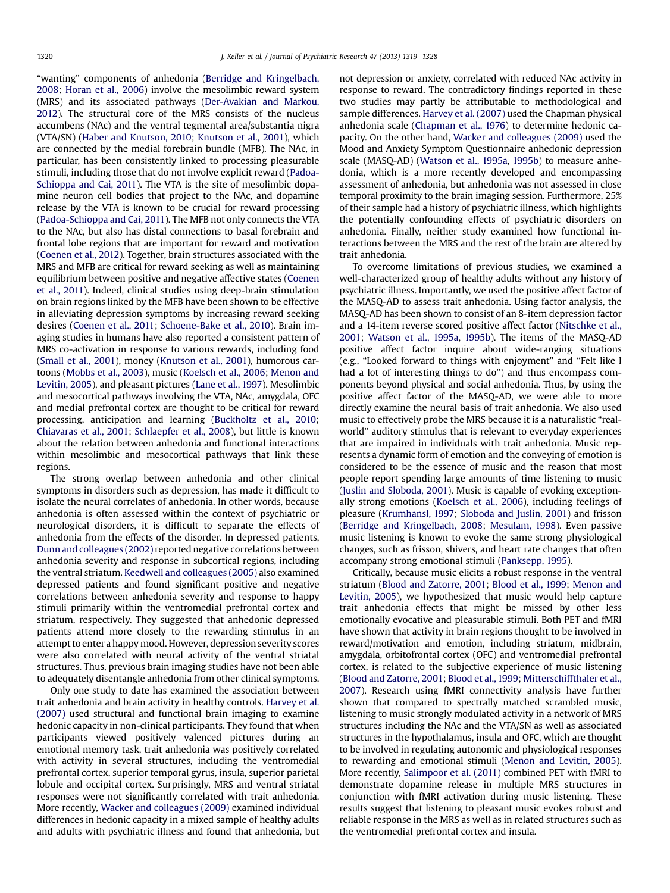"wanting" components of anhedonia (Berridge and Kringelbach, 2008; Horan et al., 2006) involve the mesolimbic reward system (MRS) and its associated pathways (Der-Avakian and Markou, 2012). The structural core of the MRS consists of the nucleus accumbens (NAc) and the ventral tegmental area/substantia nigra (VTA/SN) (Haber and Knutson, 2010; Knutson et al., 2001), which are connected by the medial forebrain bundle (MFB). The NAc, in particular, has been consistently linked to processing pleasurable stimuli, including those that do not involve explicit reward (Padoa-Schioppa and Cai, 2011). The VTA is the site of mesolimbic dopamine neuron cell bodies that project to the NAc, and dopamine release by the VTA is known to be crucial for reward processing (Padoa-Schioppa and Cai, 2011). The MFB not only connects the VTA to the NAc, but also has distal connections to basal forebrain and frontal lobe regions that are important for reward and motivation (Coenen et al., 2012). Together, brain structures associated with the MRS and MFB are critical for reward seeking as well as maintaining equilibrium between positive and negative affective states (Coenen et al., 2011). Indeed, clinical studies using deep-brain stimulation on brain regions linked by the MFB have been shown to be effective in alleviating depression symptoms by increasing reward seeking desires (Coenen et al., 2011; Schoene-Bake et al., 2010). Brain imaging studies in humans have also reported a consistent pattern of MRS co-activation in response to various rewards, including food (Small et al., 2001), money (Knutson et al., 2001), humorous cartoons (Mobbs et al., 2003), music (Koelsch et al., 2006; Menon and Levitin, 2005), and pleasant pictures (Lane et al., 1997). Mesolimbic and mesocortical pathways involving the VTA, NAc, amygdala, OFC and medial prefrontal cortex are thought to be critical for reward processing, anticipation and learning (Buckholtz et al., 2010; Chiavaras et al., 2001; Schlaepfer et al., 2008), but little is known about the relation between anhedonia and functional interactions within mesolimbic and mesocortical pathways that link these regions.

The strong overlap between anhedonia and other clinical symptoms in disorders such as depression, has made it difficult to isolate the neural correlates of anhedonia. In other words, because anhedonia is often assessed within the context of psychiatric or neurological disorders, it is difficult to separate the effects of anhedonia from the effects of the disorder. In depressed patients, Dunn and colleagues (2002) reported negative correlations between anhedonia severity and response in subcortical regions, including the ventral striatum. Keedwell and colleagues (2005) also examined depressed patients and found significant positive and negative correlations between anhedonia severity and response to happy stimuli primarily within the ventromedial prefrontal cortex and striatum, respectively. They suggested that anhedonic depressed patients attend more closely to the rewarding stimulus in an attempt to enter a happy mood. However, depression severity scores were also correlated with neural activity of the ventral striatal structures. Thus, previous brain imaging studies have not been able to adequately disentangle anhedonia from other clinical symptoms.

Only one study to date has examined the association between trait anhedonia and brain activity in healthy controls. Harvey et al. (2007) used structural and functional brain imaging to examine hedonic capacity in non-clinical participants. They found that when participants viewed positively valenced pictures during an emotional memory task, trait anhedonia was positively correlated with activity in several structures, including the ventromedial prefrontal cortex, superior temporal gyrus, insula, superior parietal lobule and occipital cortex. Surprisingly, MRS and ventral striatal responses were not significantly correlated with trait anhedonia. More recently, Wacker and colleagues (2009) examined individual differences in hedonic capacity in a mixed sample of healthy adults and adults with psychiatric illness and found that anhedonia, but not depression or anxiety, correlated with reduced NAc activity in response to reward. The contradictory findings reported in these two studies may partly be attributable to methodological and sample differences. Harvey et al. (2007) used the Chapman physical anhedonia scale (Chapman et al., 1976) to determine hedonic capacity. On the other hand, Wacker and colleagues (2009) used the Mood and Anxiety Symptom Questionnaire anhedonic depression scale (MASQ-AD) (Watson et al., 1995a, 1995b) to measure anhedonia, which is a more recently developed and encompassing assessment of anhedonia, but anhedonia was not assessed in close temporal proximity to the brain imaging session. Furthermore, 25% of their sample had a history of psychiatric illness, which highlights the potentially confounding effects of psychiatric disorders on anhedonia. Finally, neither study examined how functional interactions between the MRS and the rest of the brain are altered by trait anhedonia.

To overcome limitations of previous studies, we examined a well-characterized group of healthy adults without any history of psychiatric illness. Importantly, we used the positive affect factor of the MASQ-AD to assess trait anhedonia. Using factor analysis, the MASQ-AD has been shown to consist of an 8-item depression factor and a 14-item reverse scored positive affect factor (Nitschke et al., 2001; Watson et al., 1995a, 1995b). The items of the MASQ-AD positive affect factor inquire about wide-ranging situations (e.g., "Looked forward to things with enjoyment" and "Felt like I had a lot of interesting things to do") and thus encompass components beyond physical and social anhedonia. Thus, by using the positive affect factor of the MASQ-AD, we were able to more directly examine the neural basis of trait anhedonia. We also used music to effectively probe the MRS because it is a naturalistic "realworld" auditory stimulus that is relevant to everyday experiences that are impaired in individuals with trait anhedonia. Music represents a dynamic form of emotion and the conveying of emotion is considered to be the essence of music and the reason that most people report spending large amounts of time listening to music (Juslin and Sloboda, 2001). Music is capable of evoking exceptionally strong emotions (Koelsch et al., 2006), including feelings of pleasure (Krumhansl, 1997; Sloboda and Juslin, 2001) and frisson (Berridge and Kringelbach, 2008; Mesulam, 1998). Even passive music listening is known to evoke the same strong physiological changes, such as frisson, shivers, and heart rate changes that often accompany strong emotional stimuli (Panksepp, 1995).

Critically, because music elicits a robust response in the ventral striatum (Blood and Zatorre, 2001; Blood et al., 1999; Menon and Levitin, 2005), we hypothesized that music would help capture trait anhedonia effects that might be missed by other less emotionally evocative and pleasurable stimuli. Both PET and fMRI have shown that activity in brain regions thought to be involved in reward/motivation and emotion, including striatum, midbrain, amygdala, orbitofrontal cortex (OFC) and ventromedial prefrontal cortex, is related to the subjective experience of music listening (Blood and Zatorre, 2001; Blood et al., 1999; Mitterschiffthaler et al., 2007). Research using fMRI connectivity analysis have further shown that compared to spectrally matched scrambled music, listening to music strongly modulated activity in a network of MRS structures including the NAc and the VTA/SN as well as associated structures in the hypothalamus, insula and OFC, which are thought to be involved in regulating autonomic and physiological responses to rewarding and emotional stimuli (Menon and Levitin, 2005). More recently, Salimpoor et al. (2011) combined PET with fMRI to demonstrate dopamine release in multiple MRS structures in conjunction with fMRI activation during music listening. These results suggest that listening to pleasant music evokes robust and reliable response in the MRS as well as in related structures such as the ventromedial prefrontal cortex and insula.